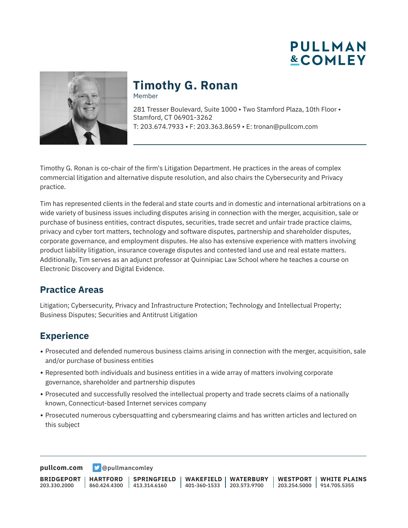



# **Timothy G. Ronan**

Member

281 Tresser Boulevard, Suite 1000 • Two Stamford Plaza, 10th Floor • Stamford, CT 06901-3262 T: 203.674.7933 • F: 203.363.8659 • E: tronan@pullcom.com

Timothy G. Ronan is co-chair of the firm's Litigation Department. He practices in the areas of complex commercial litigation and alternative dispute resolution, and also chairs the Cybersecurity and Privacy practice.

Tim has represented clients in the federal and state courts and in domestic and international arbitrations on a wide variety of business issues including disputes arising in connection with the merger, acquisition, sale or purchase of business entities, contract disputes, securities, trade secret and unfair trade practice claims, privacy and cyber tort matters, technology and software disputes, partnership and shareholder disputes, corporate governance, and employment disputes. He also has extensive experience with matters involving product liability litigation, insurance coverage disputes and contested land use and real estate matters. Additionally, Tim serves as an adjunct professor at Quinnipiac Law School where he teaches a course on Electronic Discovery and Digital Evidence.

#### **Practice Areas**

Litigation; Cybersecurity, Privacy and Infrastructure Protection; Technology and Intellectual Property; Business Disputes; Securities and Antitrust Litigation

### **Experience**

- Prosecuted and defended numerous business claims arising in connection with the merger, acquisition, sale and/or purchase of business entities
- Represented both individuals and business entities in a wide array of matters involving corporate governance, shareholder and partnership disputes
- Prosecuted and successfully resolved the intellectual property and trade secrets claims of a nationally known, Connecticut-based Internet services company
- Prosecuted numerous cybersquatting and cybersmearing claims and has written articles and lectured on this subject

**[pullcom.com](https://www.pullcom.com) g** [@pullmancomley](https://twitter.com/PullmanComley)

**BRIDGEPORT** 203.330.2000 **HARTFORD** 860.424.4300 413.314.6160 **SPRINGFIELD WAKEFIELD WATERBURY** 401-360-1533 203.573.9700 **WESTPORT WHITE PLAINS** 203.254.5000 914.705.5355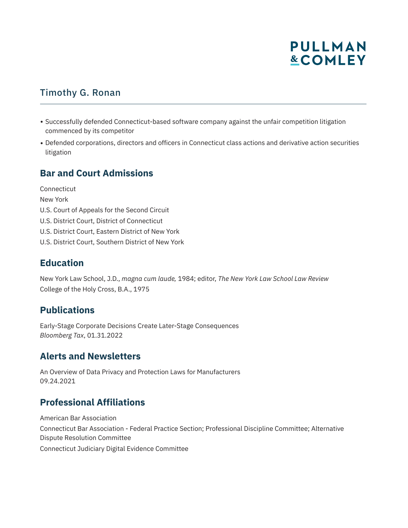# **PULLMAN &COMLEY**

# Timothy G. Ronan

- Successfully defended Connecticut-based software company against the unfair competition litigation commenced by its competitor
- Defended corporations, directors and officers in Connecticut class actions and derivative action securities litigation

#### **Bar and Court Admissions**

**Connecticut** New York U.S. Court of Appeals for the Second Circuit U.S. District Court, District of Connecticut U.S. District Court, Eastern District of New York U.S. District Court, Southern District of New York

### **Education**

New York Law School, J.D., *magna cum laude,* 1984; editor, *The New York Law School Law Review* College of the Holy Cross, B.A., 1975

#### **Publications**

Early-Stage Corporate Decisions Create Later-Stage Consequences *Bloomberg Tax*, 01.31.2022

#### **Alerts and Newsletters**

An Overview of Data Privacy and Protection Laws for Manufacturers 09.24.2021

# **Professional Affiliations**

American Bar Association Connecticut Bar Association - Federal Practice Section; Professional Discipline Committee; Alternative Dispute Resolution Committee Connecticut Judiciary Digital Evidence Committee